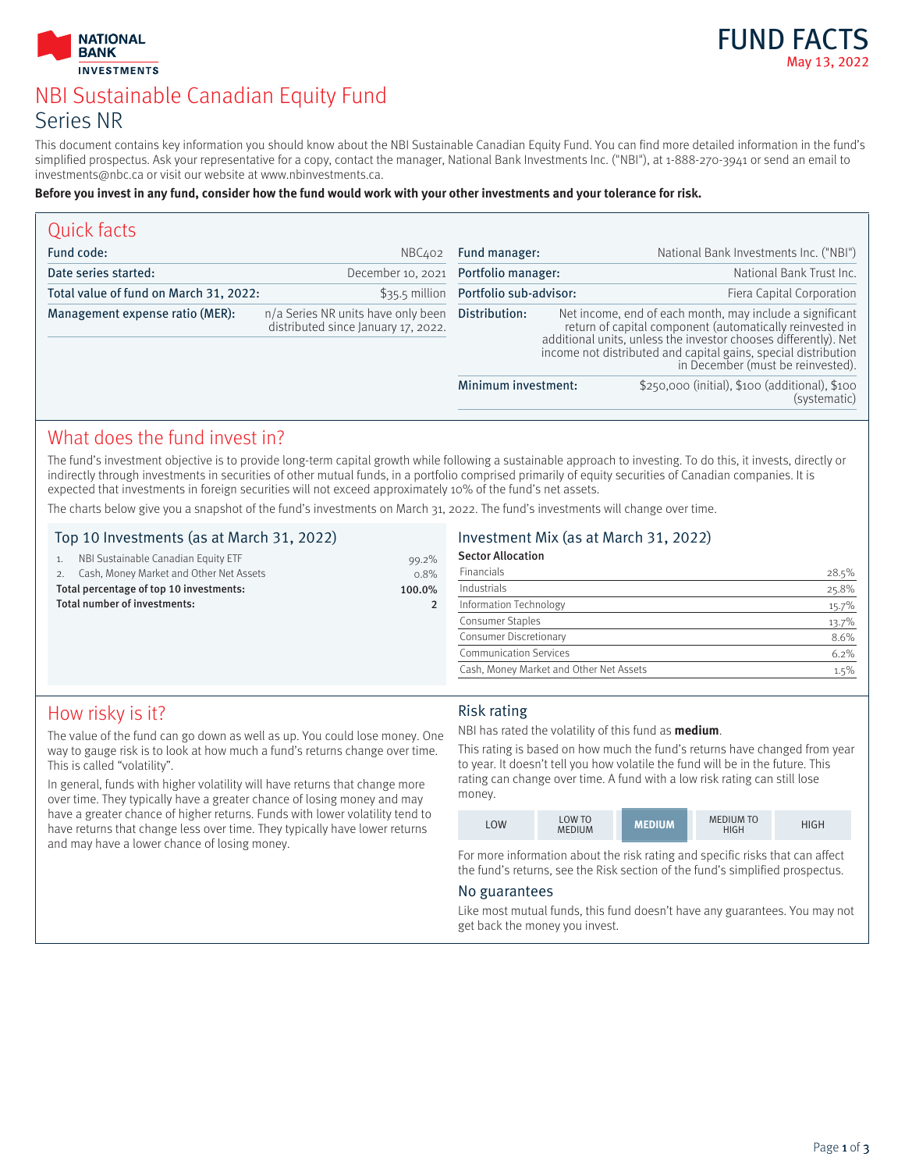



# NBI Sustainable Canadian Equity Fund Series NR

This document contains key information you should know about the NBI Sustainable Canadian Equity Fund. You can find more detailed information in the fund's simplified prospectus. Ask your representative for a copy, contact the manager, National Bank Investments Inc. ("NBI"), at 1-888-270-3941 or send an email to investments@nbc.ca or visit our website at www.nbinvestments.ca.

#### **Before you invest in any fund, consider how the fund would work with your other investments and your tolerance for risk.**

| Quick facts                            |                                                                              |                                       |                                                                                                                                                                                                                                                                                                |                                                                |
|----------------------------------------|------------------------------------------------------------------------------|---------------------------------------|------------------------------------------------------------------------------------------------------------------------------------------------------------------------------------------------------------------------------------------------------------------------------------------------|----------------------------------------------------------------|
| Fund code:                             | NBC402                                                                       | Fund manager:                         |                                                                                                                                                                                                                                                                                                | National Bank Investments Inc. ("NBI")                         |
| Date series started:                   | December 10, 2021                                                            | Portfolio manager:                    |                                                                                                                                                                                                                                                                                                | National Bank Trust Inc.                                       |
| Total value of fund on March 31, 2022: |                                                                              | \$35.5 million Portfolio sub-advisor: |                                                                                                                                                                                                                                                                                                | Fiera Capital Corporation                                      |
| Management expense ratio (MER):        | n/a Series NR units have only been<br>distributed since January $17, 2022$ . | Distribution:                         | Net income, end of each month, may include a significant<br>return of capital component (automatically reinvested in<br>additional units, unless the investor chooses differently). Net<br>income not distributed and capital gains, special distribution<br>in December (must be reinvested). |                                                                |
|                                        |                                                                              | Minimum investment:                   |                                                                                                                                                                                                                                                                                                | \$250,000 (initial), \$100 (additional), \$100<br>(systematic) |

## What does the fund invest in?

The fund's investment objective is to provide long-term capital growth while following a sustainable approach to investing. To do this, it invests, directly or indirectly through investments in securities of other mutual funds, in a portfolio comprised primarily of equity securities of Canadian companies. It is expected that investments in foreign securities will not exceed approximately 10% of the fund's net assets.

The charts below give you a snapshot of the fund's investments on March 31, 2022. The fund's investments will change over time.

#### Top 10 Investments (as at March 31, 2022)

| $0.8\%$ |
|---------|
| 99.2%   |
|         |

### Investment Mix (as at March 31, 2022)

| <b>Sector Allocation</b>                |       |
|-----------------------------------------|-------|
| Financials                              | 28.5% |
| Industrials                             | 25.8% |
| Information Technology                  | 15.7% |
| <b>Consumer Staples</b>                 | 13.7% |
| Consumer Discretionary                  | 8.6%  |
| <b>Communication Services</b>           | 6.2%  |
| Cash, Money Market and Other Net Assets | 1.5%  |

# How risky is it?

The value of the fund can go down as well as up. You could lose money. One way to gauge risk is to look at how much a fund's returns change over time. This is called "volatility".

Total number of investments: 2

In general, funds with higher volatility will have returns that change more over time. They typically have a greater chance of losing money and may have a greater chance of higher returns. Funds with lower volatility tend to have returns that change less over time. They typically have lower returns and may have a lower chance of losing money.

#### Risk rating

NBI has rated the volatility of this fund as **medium**.

This rating is based on how much the fund's returns have changed from year to year. It doesn't tell you how volatile the fund will be in the future. This rating can change over time. A fund with a low risk rating can still lose money.

| <b>LOW</b> | LOW TO<br><b>MEDIUM</b> | <b>MEDIUM</b> | <b>MEDIUM TO</b><br>HIGH | HIGH |
|------------|-------------------------|---------------|--------------------------|------|
|------------|-------------------------|---------------|--------------------------|------|

For more information about the risk rating and specific risks that can affect the fund's returns, see the Risk section of the fund's simplified prospectus.

#### No guarantees

Like most mutual funds, this fund doesn't have any guarantees. You may not get back the money you invest.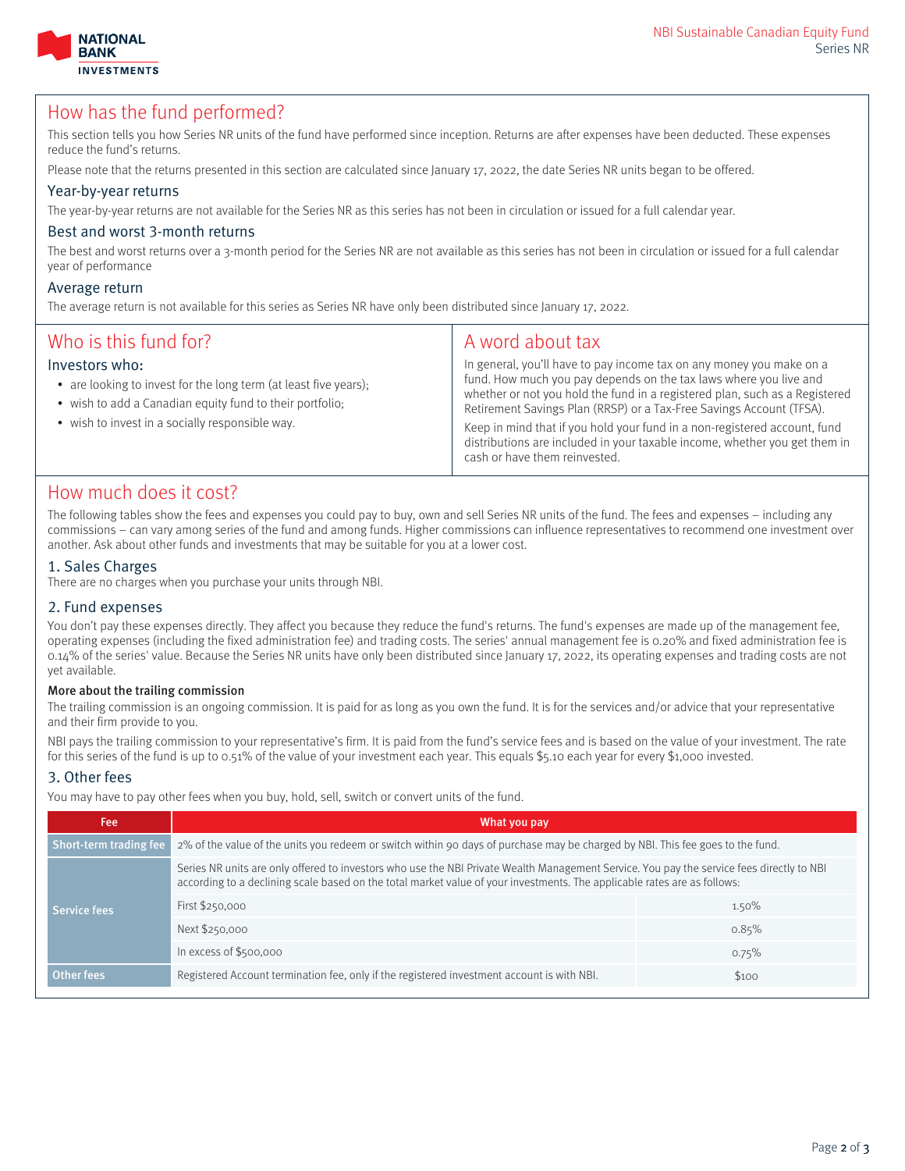



### How has the fund performed?

This section tells you how Series NR units of the fund have performed since inception. Returns are after expenses have been deducted. These expenses reduce the fund's returns.

Please note that the returns presented in this section are calculated since January 17, 2022, the date Series NR units began to be offered.

#### Year-by-year returns

The year-by-year returns are not available for the Series NR as this series has not been in circulation or issued for a full calendar year.

#### Best and worst 3-month returns

The best and worst returns over a 3-month period for the Series NR are not available as this series has not been in circulation or issued for a full calendar year of performance

#### Average return

The average return is not available for this series as Series NR have only been distributed since January 17, 2022.

| Who is this fund for?<br>Investors who:<br>• are looking to invest for the long term (at least five years);<br>• wish to add a Canadian equity fund to their portfolio;<br>• wish to invest in a socially responsible way. | A word about tax<br>In general, you'll have to pay income tax on any money you make on a<br>fund. How much you pay depends on the tax laws where you live and<br>whether or not you hold the fund in a registered plan, such as a Registered<br>Retirement Savings Plan (RRSP) or a Tax-Free Savings Account (TFSA).<br>Keep in mind that if you hold your fund in a non-registered account, fund<br>distributions are included in your taxable income, whether you get them in<br>cash or have them reinvested. |
|----------------------------------------------------------------------------------------------------------------------------------------------------------------------------------------------------------------------------|------------------------------------------------------------------------------------------------------------------------------------------------------------------------------------------------------------------------------------------------------------------------------------------------------------------------------------------------------------------------------------------------------------------------------------------------------------------------------------------------------------------|
|                                                                                                                                                                                                                            |                                                                                                                                                                                                                                                                                                                                                                                                                                                                                                                  |

### How much does it cost?

The following tables show the fees and expenses you could pay to buy, own and sell Series NR units of the fund. The fees and expenses – including any commissions – can vary among series of the fund and among funds. Higher commissions can influence representatives to recommend one investment over another. Ask about other funds and investments that may be suitable for you at a lower cost.

#### 1. Sales Charges

There are no charges when you purchase your units through NBI.

#### 2. Fund expenses

You don't pay these expenses directly. They affect you because they reduce the fund's returns. The fund's expenses are made up of the management fee, operating expenses (including the fixed administration fee) and trading costs. The series' annual management fee is 0.20% and fixed administration fee is 0.14% of the series' value. Because the Series NR units have only been distributed since January 17, 2022, its operating expenses and trading costs are not yet available.

#### More about the trailing commission

The trailing commission is an ongoing commission. It is paid for as long as you own the fund. It is for the services and/or advice that your representative and their firm provide to you.

NBI pays the trailing commission to your representative's firm. It is paid from the fund's service fees and is based on the value of your investment. The rate for this series of the fund is up to 0.51% of the value of your investment each year. This equals \$5.10 each year for every \$1,000 invested.

#### 3. Other fees

You may have to pay other fees when you buy, hold, sell, switch or convert units of the fund.

| What you pay                                                                                                                                                                                                                                                          |       |  |
|-----------------------------------------------------------------------------------------------------------------------------------------------------------------------------------------------------------------------------------------------------------------------|-------|--|
| 2% of the value of the units you redeem or switch within 90 days of purchase may be charged by NBI. This fee goes to the fund.                                                                                                                                        |       |  |
| Series NR units are only offered to investors who use the NBI Private Wealth Management Service. You pay the service fees directly to NBI<br>according to a declining scale based on the total market value of your investments. The applicable rates are as follows: |       |  |
| First \$250,000                                                                                                                                                                                                                                                       | 1.50% |  |
| Next \$250,000                                                                                                                                                                                                                                                        | 0.85% |  |
| In excess of $$500,000$                                                                                                                                                                                                                                               | 0.75% |  |
| Registered Account termination fee, only if the registered investment account is with NBI.                                                                                                                                                                            | \$100 |  |
|                                                                                                                                                                                                                                                                       |       |  |